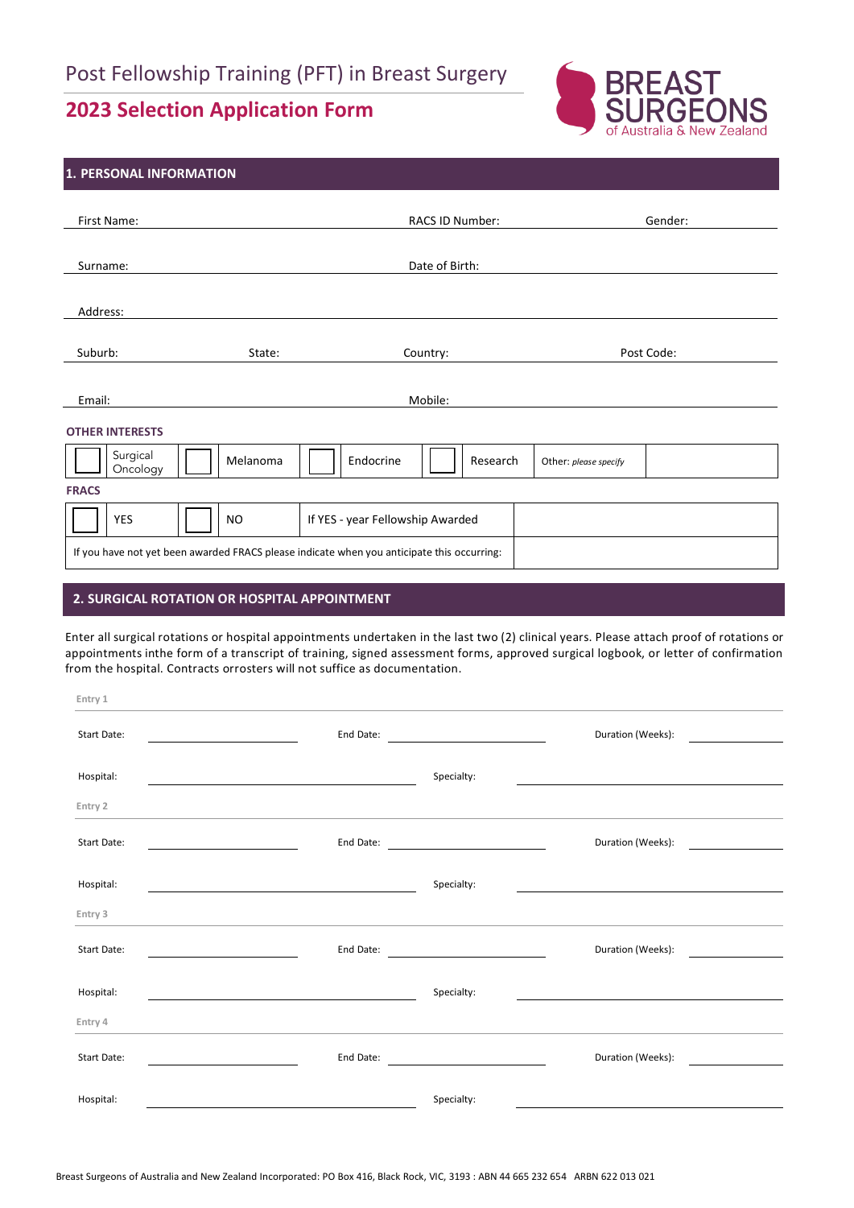# **2023 Selection Application Form**



# **1. PERSONAL INFORMATION** First Name: Gender: General According to the RACS ID Number: General According Service Communications of the Gender: Surname: Date of Birth: Address: Suburb: State: Country: Post Code: Email: Mobile: 2002. Mobile: 2003. Mobile: 2004. Mobile: 2004. Mobile: 2004. Mobile: 2004. Mobile: 2004. Mobile: 2004. Mobile: 2004. Mobile: 2004. Mobile: 2004. Mobile: 2004. Mobile: 2004. Mobile: 2004. Mobile: 2004. Mobil **OTHER INTERESTS** Surgical<br>Oncology Surgical Melanoma **Melanoma Endocrine Research Other:** *please specify*<br>Oncology **Algorithm FRACS** YES | | | | NO | If YES - year Fellowship Awarded If you have not yet been awarded FRACS please indicate when you anticipate this occurring:

#### **2. SURGICAL ROTATION OR HOSPITAL APPOINTMENT**

Enter all surgical rotations or hospital appointments undertaken in the last two (2) clinical years. Please attach proof of rotations or appointments inthe form of a transcript of training, signed assessment forms, approved surgical logbook, or letter of confirmation from the hospital. Contracts orrosters will not suffice as documentation.

| Entry 1     |                                                             |                   |  |
|-------------|-------------------------------------------------------------|-------------------|--|
| Start Date: | End Date:                                                   | Duration (Weeks): |  |
| Hospital:   | <u> 1980 - Johann Stoff, amerikansk politiker (d. 1980)</u> | Specialty:        |  |
| Entry 2     |                                                             |                   |  |
| Start Date: | End Date:                                                   | Duration (Weeks): |  |
| Hospital:   |                                                             | Specialty:        |  |
| Entry 3     |                                                             |                   |  |
| Start Date: | End Date:                                                   | Duration (Weeks): |  |
| Hospital:   |                                                             | Specialty:        |  |
| Entry 4     |                                                             |                   |  |
| Start Date: | End Date:                                                   | Duration (Weeks): |  |
| Hospital:   |                                                             | Specialty:        |  |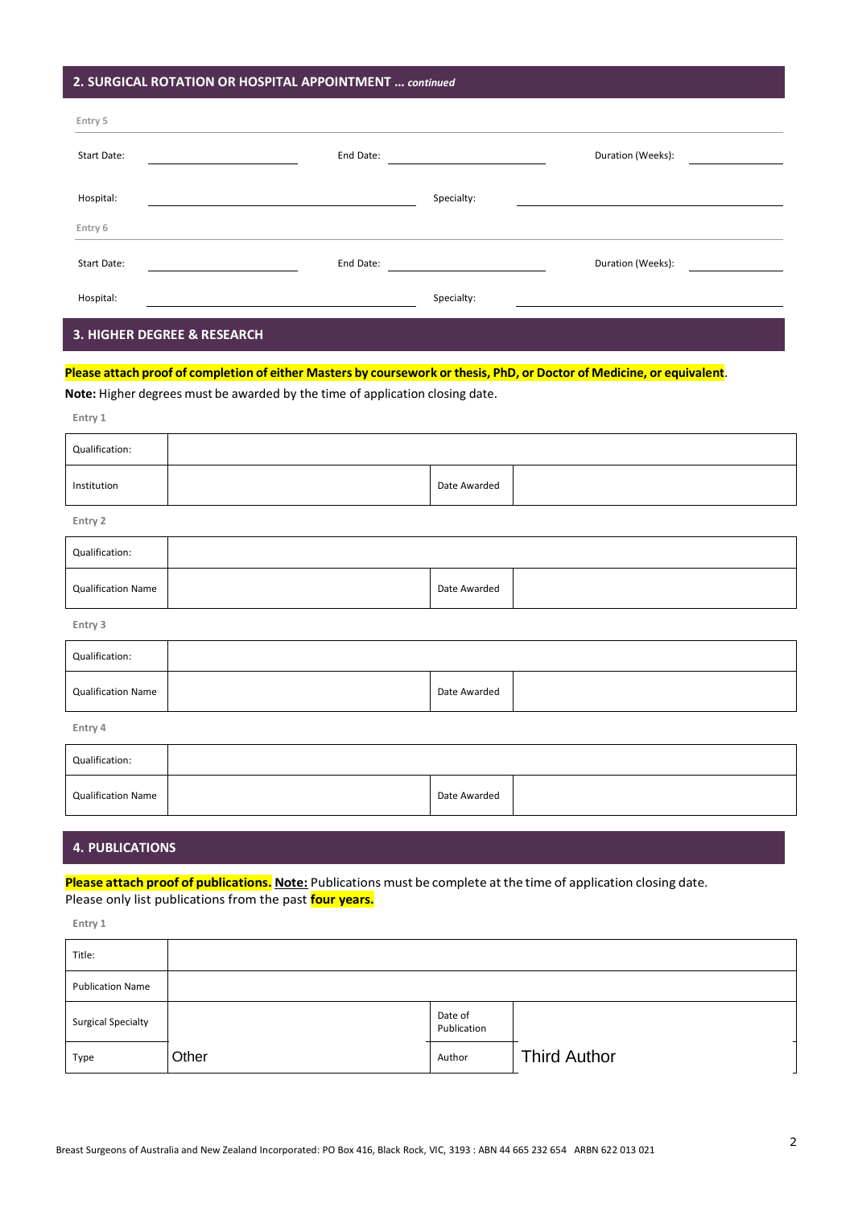# **2. SURGICAL ROTATION OR HOSPITAL APPOINTMENT …** *continued*

| Entry 5            |           |            |                   |
|--------------------|-----------|------------|-------------------|
| Start Date:        | End Date: |            | Duration (Weeks): |
|                    |           |            |                   |
| Hospital:          |           | Specialty: |                   |
| Entry 6            |           |            |                   |
| <b>Start Date:</b> | End Date: |            | Duration (Weeks): |
| Hospital:          |           | Specialty: |                   |
|                    |           |            |                   |

#### **3. HIGHER DEGREE & RESEARCH**

#### Please attach proof of completion of either Masters by coursework or thesis, PhD, or Doctor of Medicine, or equivalent.

**Note:** Higher degrees must be awarded by the time of application closing date.

| Entry 1        |  |              |
|----------------|--|--------------|
| Qualification: |  |              |
| Institution    |  | Date Awarded |

**Entry 2**

| Qualification:            |              |  |
|---------------------------|--------------|--|
| <b>Qualification Name</b> | Date Awarded |  |
|                           |              |  |

**Entry 3**

| Qualification:            |              |  |
|---------------------------|--------------|--|
| <b>Qualification Name</b> | Date Awarded |  |

**Entry 4**

| Qualification:            |              |  |
|---------------------------|--------------|--|
| <b>Qualification Name</b> | Date Awarded |  |

#### **4. PUBLICATIONS**

**Please attach proof of publications. Note:** Publications must be complete atthe time of application closing date. Please only list publications from the past **four years.**

**Entry 1**

| Title:                    |       |                        |                     |
|---------------------------|-------|------------------------|---------------------|
| <b>Publication Name</b>   |       |                        |                     |
| <b>Surgical Specialty</b> |       | Date of<br>Publication |                     |
| Type                      | Other | Author                 | <b>Third Author</b> |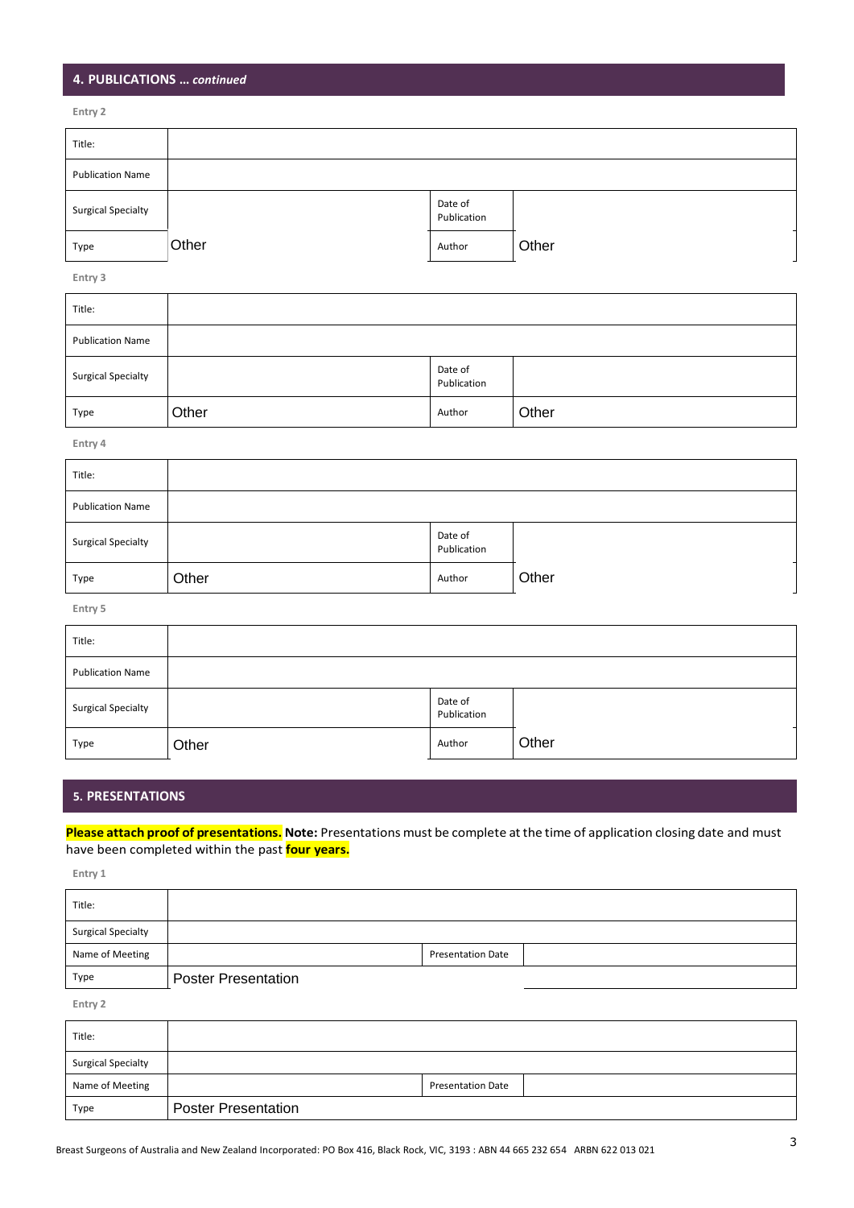# **4. PUBLICATIONS …** *continued*

**Entry 2**

| Title:                    |       |                        |       |
|---------------------------|-------|------------------------|-------|
| <b>Publication Name</b>   |       |                        |       |
| <b>Surgical Specialty</b> |       | Date of<br>Publication |       |
| Type                      | Other | Author                 | Other |

**Entry 3**

| Title:                    |       |                        |       |
|---------------------------|-------|------------------------|-------|
| <b>Publication Name</b>   |       |                        |       |
| <b>Surgical Specialty</b> |       | Date of<br>Publication |       |
| Type                      | Other | Author                 | Other |

| Type                      | Other | Author                 | Other |
|---------------------------|-------|------------------------|-------|
| Entry 4                   |       |                        |       |
| Title:                    |       |                        |       |
| <b>Publication Name</b>   |       |                        |       |
| <b>Surgical Specialty</b> |       | Date of<br>Publication |       |
| Type                      | Other | Author                 | Other |
| Entry 5                   |       |                        |       |
| Title:                    |       |                        |       |
| <b>Publication Name</b>   |       |                        |       |
| <b>Surgical Specialty</b> |       | Date of<br>Publication |       |
| Type                      | Other | Author                 | Other |

| Title:                    |       |                        |       |
|---------------------------|-------|------------------------|-------|
| <b>Publication Name</b>   |       |                        |       |
| <b>Surgical Specialty</b> |       | Date of<br>Publication |       |
| Type                      | Other | Author                 | Other |

# **5. PRESENTATIONS**

**Please attach proof of presentations. Note:** Presentations must be complete atthe time of application closing date and must have been completed within the past **four years.**

**Entry 1**

| Title:                    |                            |                          |
|---------------------------|----------------------------|--------------------------|
| <b>Surgical Specialty</b> |                            |                          |
| Name of Meeting           |                            | <b>Presentation Date</b> |
| Type                      | <b>Poster Presentation</b> |                          |

**Entry 2**

| Title:                    |                            |                          |  |
|---------------------------|----------------------------|--------------------------|--|
| <b>Surgical Specialty</b> |                            |                          |  |
| Name of Meeting           |                            | <b>Presentation Date</b> |  |
| Type                      | <b>Poster Presentation</b> |                          |  |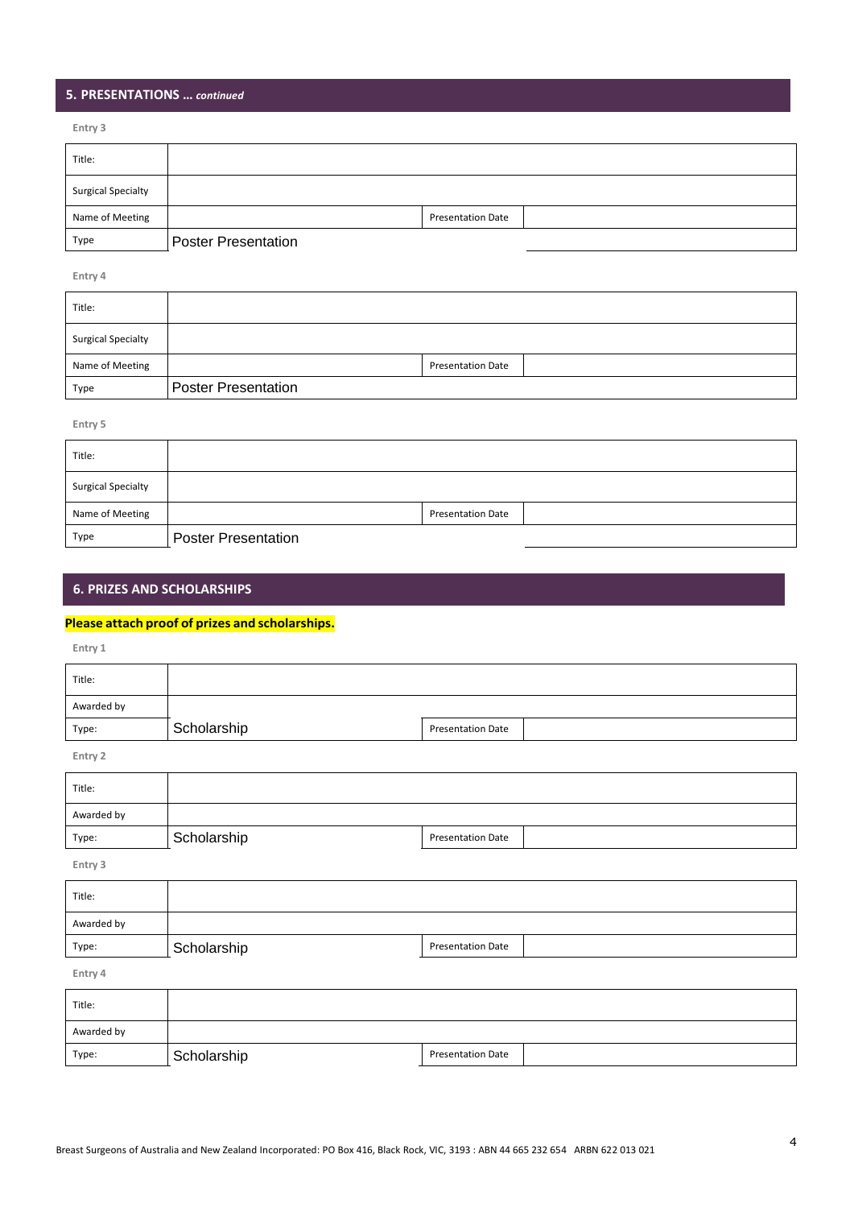# **5. PRESENTATIONS …** *continued*

**Entry 3**

| Title:                    |                            |                          |  |
|---------------------------|----------------------------|--------------------------|--|
| <b>Surgical Specialty</b> |                            |                          |  |
| Name of Meeting           |                            | <b>Presentation Date</b> |  |
| Type                      | <b>Poster Presentation</b> |                          |  |

**Entry 4**

| Title:                    |                            |                          |
|---------------------------|----------------------------|--------------------------|
| <b>Surgical Specialty</b> |                            |                          |
| Name of Meeting           |                            | <b>Presentation Date</b> |
| Type                      | <b>Poster Presentation</b> |                          |

**Entry 5**

| Title:                    |                            |                          |  |
|---------------------------|----------------------------|--------------------------|--|
| <b>Surgical Specialty</b> |                            |                          |  |
| Name of Meeting           |                            | <b>Presentation Date</b> |  |
| Type                      | <b>Poster Presentation</b> |                          |  |

# **6. PRIZES AND SCHOLARSHIPS**

#### **Please attach proof of prizes and scholarships.**

**Entry 1**

| Title:     |             |                          |
|------------|-------------|--------------------------|
| Awarded by |             |                          |
| Type:      | Scholarship | <b>Presentation Date</b> |

**Entry 2**

| Title:     |             |                          |
|------------|-------------|--------------------------|
| Awarded by |             |                          |
| Type:      | Scholarship | <b>Presentation Date</b> |

**Entry 3**

| Title:     |                                         |  |
|------------|-----------------------------------------|--|
| Awarded by |                                         |  |
| Type:      | <b>Presentation Date</b><br>Scholarship |  |
| Entry 4    |                                         |  |

| Title:     |             |                          |
|------------|-------------|--------------------------|
| Awarded by |             |                          |
| Type:      | Scholarship | <b>Presentation Date</b> |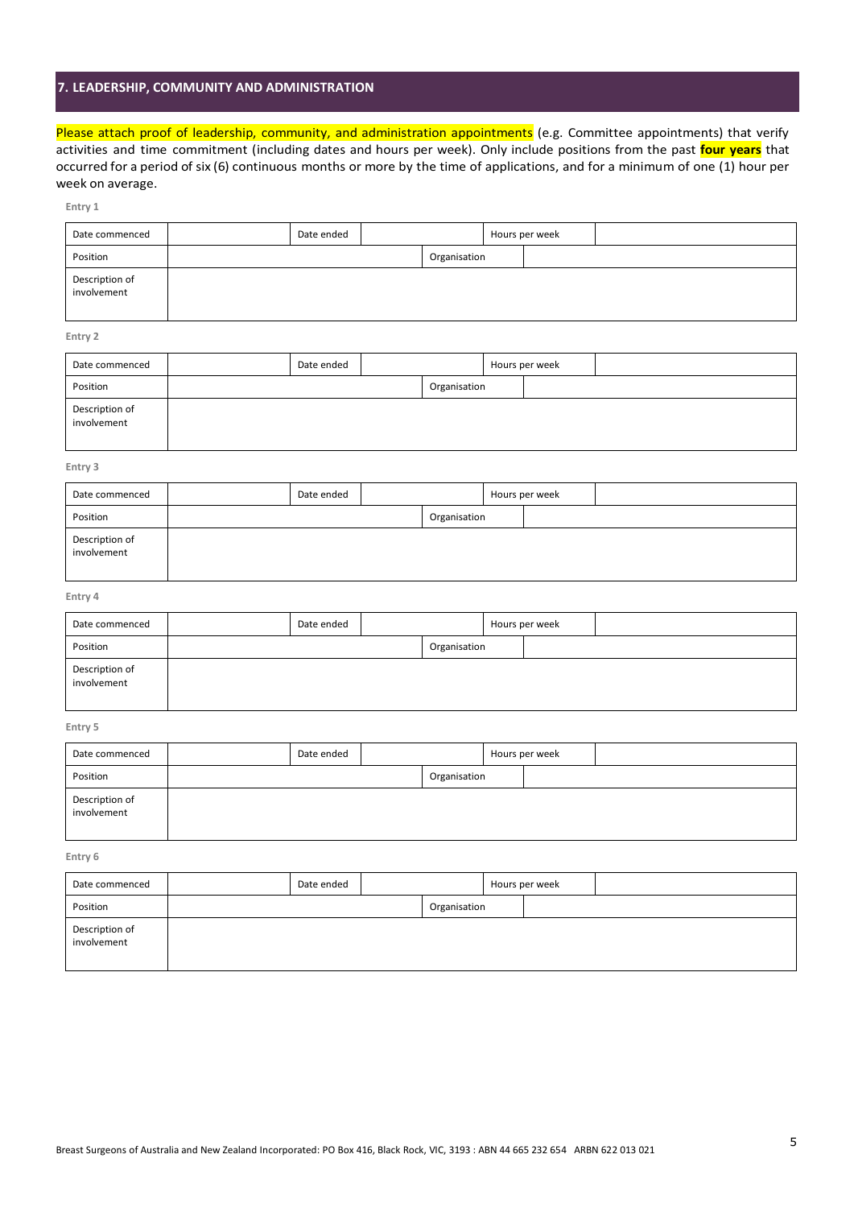# **7. LEADERSHIP, COMMUNITY AND ADMINISTRATION**

Description of involvement

Please attach proof of leadership, community, and administration appointments (e.g. Committee appointments) that verify activities and time commitment (including dates and hours per week). Only include positions from the past **four years** that occurred for a period of six (6) continuous months or more by the time of applications, and for a minimum of one (1) hour per week on average.

| Entry 1                       |            |              |                |  |
|-------------------------------|------------|--------------|----------------|--|
| Date commenced                | Date ended |              | Hours per week |  |
| Position                      |            | Organisation |                |  |
| Description of<br>involvement |            |              |                |  |
| Entry 2                       |            |              |                |  |
| Date commenced                | Date ended |              | Hours per week |  |
| Position                      |            | Organisation |                |  |
| Description of<br>involvement |            |              |                |  |
| Entry 3                       |            |              |                |  |
| Date commenced                | Date ended |              | Hours per week |  |
| Position                      |            | Organisation |                |  |
| Description of<br>involvement |            |              |                |  |
| Entry 4                       |            |              |                |  |
| Date commenced                | Date ended |              | Hours per week |  |
| Position                      |            | Organisation |                |  |
| Description of<br>involvement |            |              |                |  |
| Entry 5                       |            |              |                |  |
| Date commenced                | Date ended |              | Hours per week |  |
| Position                      |            | Organisation |                |  |
| Description of<br>involvement |            |              |                |  |
| Entry 6                       |            |              |                |  |
| Date commenced                | Date ended |              | Hours per week |  |
| Position                      |            | Organisation |                |  |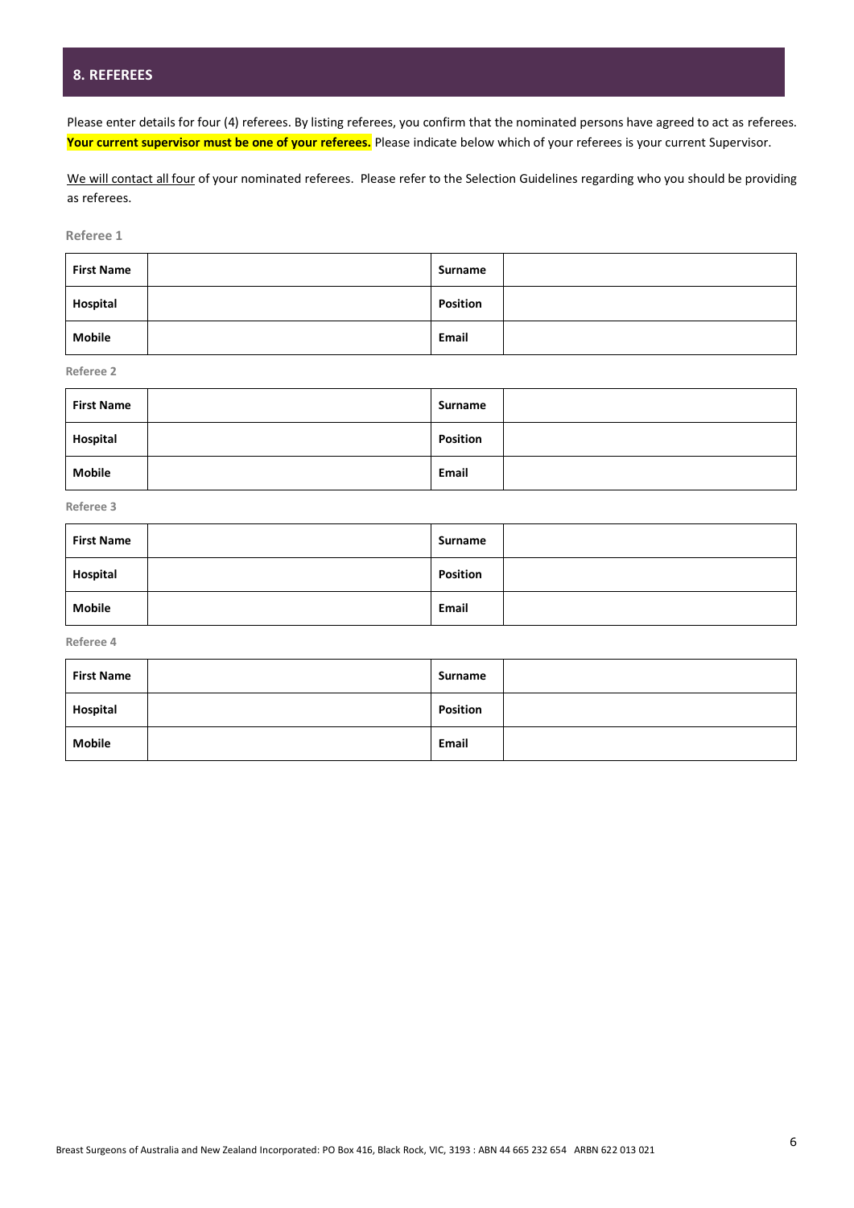# **8. REFEREES**

Please enter details for four (4) referees. By listing referees, you confirm that the nominated persons have agreed to act as referees. **Your current supervisor must be one of your referees.** Please indicate below which of your referees is your current Supervisor.

We will contact all four of your nominated referees. Please refer to the Selection Guidelines regarding who you should be providing as referees.

**Referee 1**

| <b>First Name</b> | Surname         |
|-------------------|-----------------|
| Hospital          | <b>Position</b> |
| <b>Mobile</b>     | Email           |

**Referee 2**

| <b>First Name</b> | Surname         |
|-------------------|-----------------|
| Hospital          | <b>Position</b> |
| <b>Mobile</b>     | Email           |

**Referee 3**

| <b>First Name</b> | Surname         |
|-------------------|-----------------|
| Hospital          | <b>Position</b> |
| <b>Mobile</b>     | Email           |

**Referee 4**

| <b>First Name</b> | Surname         |
|-------------------|-----------------|
| Hospital          | <b>Position</b> |
| <b>Mobile</b>     | Email           |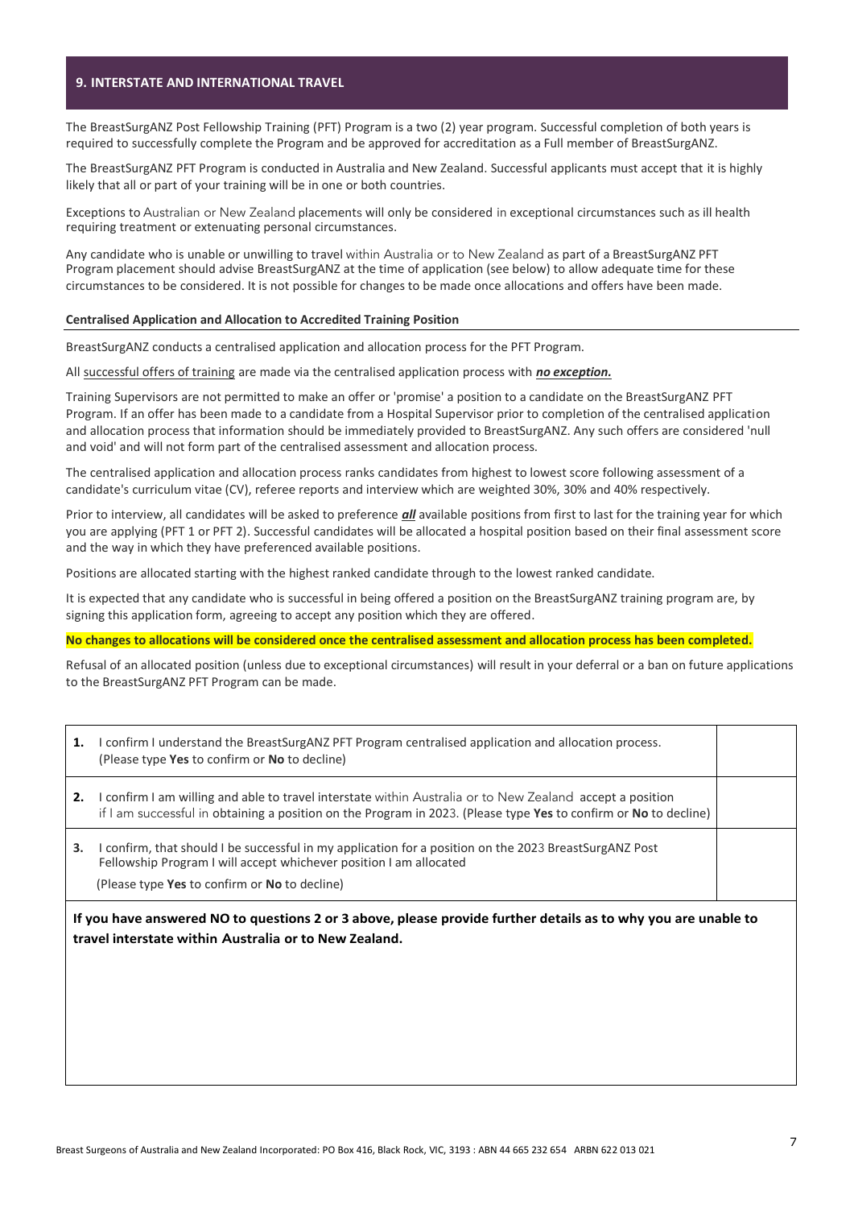#### **9. INTERSTATE AND INTERNATIONAL TRAVEL**

The BreastSurgANZ Post Fellowship Training (PFT) Program is a two (2) year program. Successful completion of both years is required to successfully complete the Program and be approved for accreditation as a Full member of BreastSurgANZ.

The BreastSurgANZ PFT Program is conducted in Australia and New Zealand. Successful applicants must accept that it is highly likely that all or part of your training will be in one or both countries.

Exceptions to Australian or New Zealand placements will only be considered in exceptional circumstances such as ill health requiring treatment or extenuating personal circumstances.

Any candidate who is unable or unwilling to travel within Australia or to New Zealand as part of a BreastSurgANZ PFT Program placement should advise BreastSurgANZ at the time of application (see below) to allow adequate time for these circumstances to be considered. It is not possible for changes to be made once allocations and offers have been made.

#### **Centralised Application and Allocation to Accredited Training Position**

BreastSurgANZ conducts a centralised application and allocation process for the PFT Program.

All successful offers of training are made via the centralised application process with *no exception.*

Training Supervisors are not permitted to make an offer or 'promise' a position to a candidate on the BreastSurgANZ PFT Program. If an offer has been made to a candidate from a Hospital Supervisor prior to completion of the centralised application and allocation process that information should be immediately provided to BreastSurgANZ. Any such offers are considered 'null and void' and will not form part of the centralised assessment and allocation process.

The centralised application and allocation process ranks candidates from highest to lowest score following assessment of a candidate's curriculum vitae (CV), referee reports and interview which are weighted 30%, 30% and 40% respectively.

Prior to interview, all candidates will be asked to preference *all* available positions from first to last for the training year for which you are applying (PFT 1 or PFT 2). Successful candidates will be allocated a hospital position based on their final assessment score and the way in which they have preferenced available positions.

Positions are allocated starting with the highest ranked candidate through to the lowest ranked candidate.

It is expected that any candidate who is successful in being offered a position on the BreastSurgANZ training program are, by signing this application form, agreeing to accept any position which they are offered.

**No changes to allocations will be considered once the centralised assessment and allocation process has been completed.**

Refusal of an allocated position (unless due to exceptional circumstances) will result in your deferral or a ban on future applications to the BreastSurgANZ PFT Program can be made.

| I confirm I understand the BreastSurgANZ PFT Program centralised application and allocation process.<br>1.<br>(Please type Yes to confirm or No to decline)                                                                         |                                                                                                                                                                              |  |
|-------------------------------------------------------------------------------------------------------------------------------------------------------------------------------------------------------------------------------------|------------------------------------------------------------------------------------------------------------------------------------------------------------------------------|--|
| I confirm I am willing and able to travel interstate within Australia or to New Zealand accept a position<br>2.<br>if I am successful in obtaining a position on the Program in 2023. (Please type Yes to confirm or No to decline) |                                                                                                                                                                              |  |
| 3.                                                                                                                                                                                                                                  | I confirm, that should I be successful in my application for a position on the 2023 BreastSurgANZ Post<br>Fellowship Program I will accept whichever position I am allocated |  |
|                                                                                                                                                                                                                                     | (Please type Yes to confirm or No to decline)                                                                                                                                |  |
|                                                                                                                                                                                                                                     | If you have answered NO to questions 2 or 3 above, please provide further details as to why you are unable to<br>travel interstate within Australia or to New Zealand.       |  |